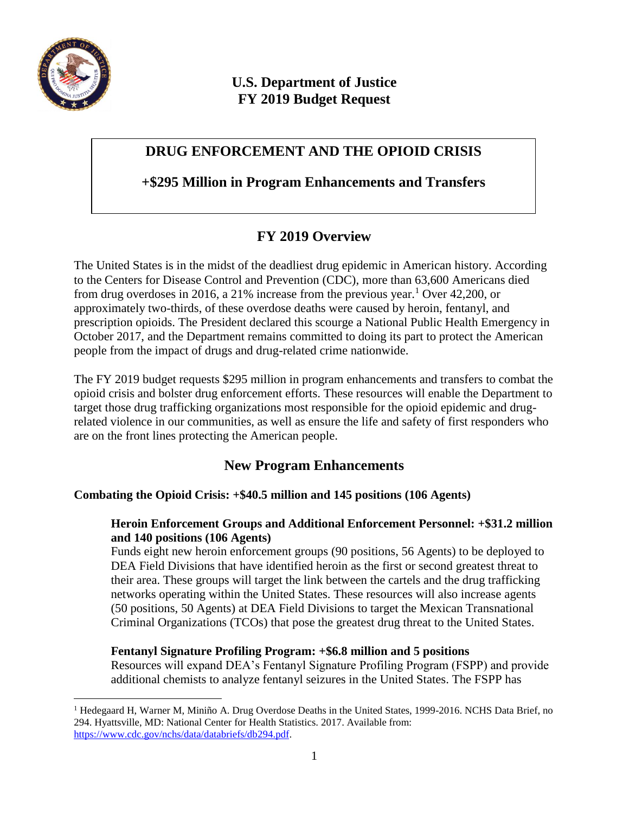

 $\overline{a}$ 

# **U.S. Department of Justice FY 2019 Budget Request**

# **DRUG ENFORCEMENT AND THE OPIOID CRISIS**

## **+\$295 Million in Program Enhancements and Transfers**

# **FY 2019 Overview**

The United States is in the midst of the deadliest drug epidemic in American history. According to the Centers for Disease Control and Prevention (CDC), more than 63,600 Americans died from drug overdoses in 2016, a 21% increase from the previous year.<sup>1</sup> Over 42,200, or approximately two-thirds, of these overdose deaths were caused by heroin, fentanyl, and prescription opioids. The President declared this scourge a National Public Health Emergency in October 2017, and the Department remains committed to doing its part to protect the American people from the impact of drugs and drug-related crime nationwide.

The FY 2019 budget requests \$295 million in program enhancements and transfers to combat the opioid crisis and bolster drug enforcement efforts. These resources will enable the Department to target those drug trafficking organizations most responsible for the opioid epidemic and drugrelated violence in our communities, as well as ensure the life and safety of first responders who are on the front lines protecting the American people.

# **New Program Enhancements**

### **Combating the Opioid Crisis: +\$40.5 million and 145 positions (106 Agents)**

### **Heroin Enforcement Groups and Additional Enforcement Personnel: +\$31.2 million and 140 positions (106 Agents)**

Funds eight new heroin enforcement groups (90 positions, 56 Agents) to be deployed to DEA Field Divisions that have identified heroin as the first or second greatest threat to their area. These groups will target the link between the cartels and the drug trafficking networks operating within the United States. These resources will also increase agents (50 positions, 50 Agents) at DEA Field Divisions to target the Mexican Transnational Criminal Organizations (TCOs) that pose the greatest drug threat to the United States.

#### **Fentanyl Signature Profiling Program: +\$6.8 million and 5 positions**

Resources will expand DEA's Fentanyl Signature Profiling Program (FSPP) and provide additional chemists to analyze fentanyl seizures in the United States. The FSPP has

<sup>&</sup>lt;sup>1</sup> Hedegaard H, Warner M, Miniño A. Drug Overdose Deaths in the United States, 1999-2016. NCHS Data Brief, no 294. Hyattsville, MD: National Center for Health Statistics. 2017. Available from: [https://www.cdc.gov/nchs/data/databriefs/db294.pdf.](https://www.cdc.gov/nchs/data/databriefs/db294.pdf)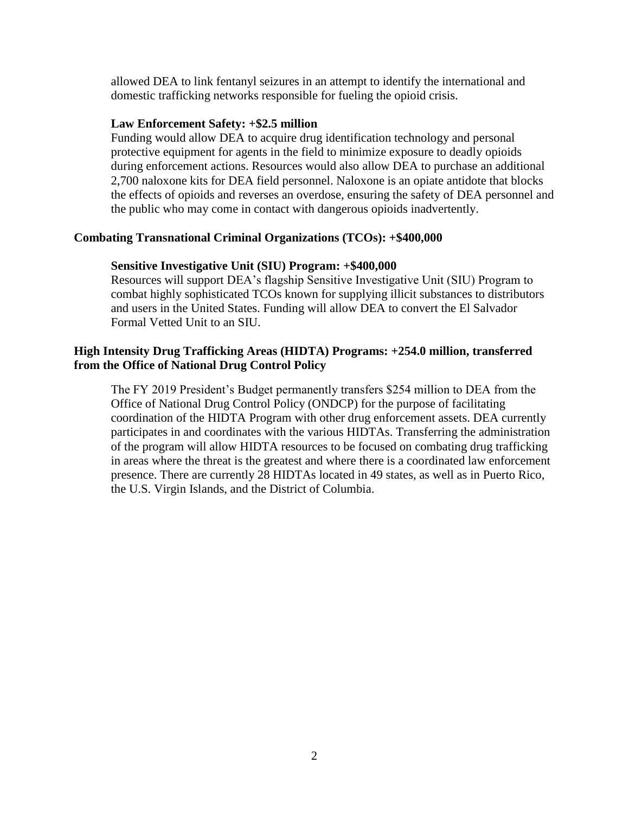allowed DEA to link fentanyl seizures in an attempt to identify the international and domestic trafficking networks responsible for fueling the opioid crisis.

#### **Law Enforcement Safety: +\$2.5 million**

Funding would allow DEA to acquire drug identification technology and personal protective equipment for agents in the field to minimize exposure to deadly opioids during enforcement actions. Resources would also allow DEA to purchase an additional 2,700 naloxone kits for DEA field personnel. Naloxone is an opiate antidote that blocks the effects of opioids and reverses an overdose, ensuring the safety of DEA personnel and the public who may come in contact with dangerous opioids inadvertently.

#### **Combating Transnational Criminal Organizations (TCOs): +\$400,000**

#### **Sensitive Investigative Unit (SIU) Program: +\$400,000**

Resources will support DEA's flagship Sensitive Investigative Unit (SIU) Program to combat highly sophisticated TCOs known for supplying illicit substances to distributors and users in the United States. Funding will allow DEA to convert the El Salvador Formal Vetted Unit to an SIU.

#### **High Intensity Drug Trafficking Areas (HIDTA) Programs: +254.0 million, transferred from the Office of National Drug Control Policy**

The FY 2019 President's Budget permanently transfers \$254 million to DEA from the Office of National Drug Control Policy (ONDCP) for the purpose of facilitating coordination of the HIDTA Program with other drug enforcement assets. DEA currently participates in and coordinates with the various HIDTAs. Transferring the administration of the program will allow HIDTA resources to be focused on combating drug trafficking in areas where the threat is the greatest and where there is a coordinated law enforcement presence. There are currently 28 HIDTAs located in 49 states, as well as in Puerto Rico, the U.S. Virgin Islands, and the District of Columbia.